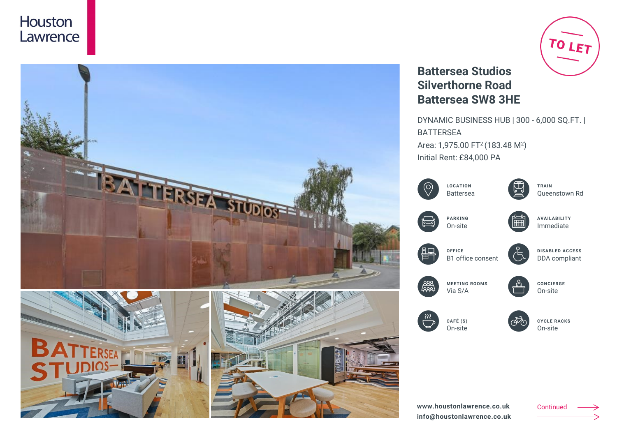



# TO LET

## **Battersea Studios Silverthorne Road Battersea SW8 3HE**

DYNAMIC BUSINESS HUB | 300 - 6,000 SQ.FT. | BATTERSEA Area: 1,975.00 FT<sup>2</sup> (183.48 M<sup>2</sup>) Initial Rent: £84,000 PA



Continued